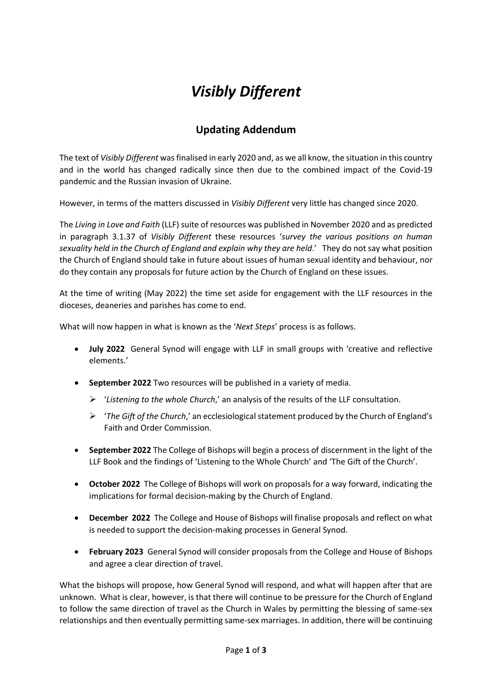## *Visibly Different*

## **Updating Addendum**

The text of *Visibly Different* was finalised in early 2020 and, as we all know, the situation in this country and in the world has changed radically since then due to the combined impact of the Covid-19 pandemic and the Russian invasion of Ukraine.

However, in terms of the matters discussed in *Visibly Different* very little has changed since 2020.

The *Living in Love and Faith* (LLF) suite of resources was published in November 2020 and as predicted in paragraph 3.1.37 of *Visibly Different* these resources '*survey the various positions on human sexuality held in the Church of England and explain why they are held*.' They do not say what position the Church of England should take in future about issues of human sexual identity and behaviour, nor do they contain any proposals for future action by the Church of England on these issues.

At the time of writing (May 2022) the time set aside for engagement with the LLF resources in the dioceses, deaneries and parishes has come to end.

What will now happen in what is known as the '*Next Steps*' process is as follows.

- **July 2022** General Synod will engage with LLF in small groups with 'creative and reflective elements.'
- **September 2022** Two resources will be published in a variety of media.
	- ➢ '*Listening to the whole Church*,' an analysis of the results of the LLF consultation.
	- ➢ '*The Gift of the Church*,' an ecclesiological statement produced by the Church of England's Faith and Order Commission.
- **September 2022** The College of Bishops will begin a process of discernment in the light of the LLF Book and the findings of 'Listening to the Whole Church' and 'The Gift of the Church'.
- **October 2022** The College of Bishops will work on proposals for a way forward, indicating the implications for formal decision-making by the Church of England.
- **December 2022** The College and House of Bishops will finalise proposals and reflect on what is needed to support the decision-making processes in General Synod.
- **February 2023** General Synod will consider proposals from the College and House of Bishops and agree a clear direction of travel.

What the bishops will propose, how General Synod will respond, and what will happen after that are unknown. What is clear, however, is that there will continue to be pressure for the Church of England to follow the same direction of travel as the Church in Wales by permitting the blessing of same-sex relationships and then eventually permitting same-sex marriages. In addition, there will be continuing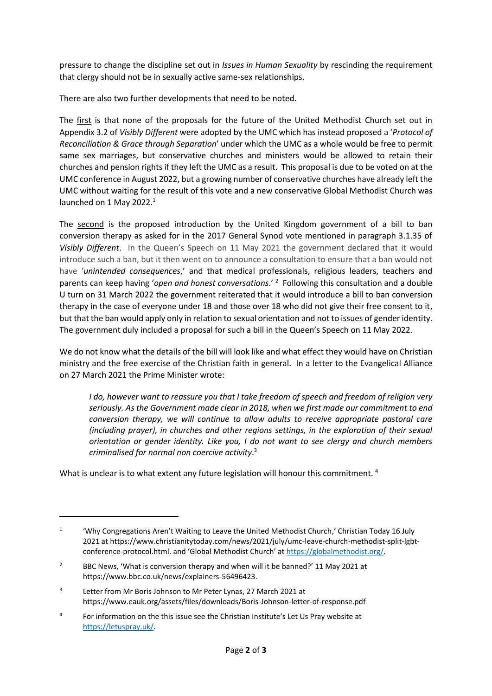pressure to change the discipline set out in *Issues in Human Sexuality* by rescinding the requirement that clergy should not be in sexually active same-sex relationships.

There are also two further developments that need to be noted.

The first is that none of the proposals for the future of the United Methodist Church set out in Appendix 3.2 of *Visibly Different* were adopted by the UMC which has instead proposed a '*Protocol of Reconciliation & Grace through Separation*' under which the UMC as a whole would be free to permit same sex marriages, but conservative churches and ministers would be allowed to retain their churches and pension rights if they left the UMC as a result. This proposal is due to be voted on at the UMC conference in August 2022, but a growing number of conservative churches have already left the UMC without waiting for the result of this vote and a new conservative Global Methodist Church was launched on 1 May 2022.<sup>1</sup>

The second is the proposed introduction by the United Kingdom government of a bill to ban conversion therapy as asked for in the 2017 General Synod vote mentioned in paragraph 3.1.35 of *Visibly Different*. In the Queen's Speech on 11 May 2021 the government declared that it would introduce such a ban, but it then went on to announce a consultation to ensure that a ban would not have '*unintended consequences*,' and that medical professionals, religious leaders, teachers and parents can keep having '*open and honest conversations*.' <sup>2</sup> Following this consultation and a double U turn on 31 March 2022 the government reiterated that it would introduce a bill to ban conversion therapy in the case of everyone under 18 and those over 18 who did not give their free consent to it, but that the ban would apply only in relation to sexual orientation and not to issues of gender identity. The government duly included a proposal for such a bill in the Queen's Speech on 11 May 2022.

We do not know what the details of the bill will look like and what effect they would have on Christian ministry and the free exercise of the Christian faith in general. In a letter to the Evangelical Alliance on 27 March 2021 the Prime Minister wrote:

*I do, however want to reassure you that I take freedom of speech and freedom of religion very seriously. As the Government made clear in 2018, when we first made our commitment to end conversion therapy, we will continue to allow adults to receive appropriate pastoral care (including prayer), in churches and other regions settings, in the exploration of their sexual orientation or gender identity. Like you, I do not want to see clergy and church members criminalised for normal non coercive activity*. 3

What is unclear is to what extent any future legislation will honour this commitment.<sup>4</sup>

<sup>1</sup> 'Why Congregations Aren't Waiting to Leave the United Methodist Church,' Christian Today 16 July 2021 at https://www.christianitytoday.com/news/2021/july/umc-leave-church-methodist-split-lgbtconference-protocol.html. and 'Global Methodist Church' at [https://globalmethodist.org/.](https://globalmethodist.org/) 

<sup>&</sup>lt;sup>2</sup> BBC News, 'What is conversion therapy and when will it be banned?' 11 May 2021 at https://www.bbc.co.uk/news/explainers-56496423.

<sup>3</sup> Letter from Mr Boris Johnson to Mr Peter Lynas, 27 March 2021 at https://www.eauk.org/assets/files/downloads/Boris-Johnson-letter-of-response.pdf

<sup>4</sup> For information on the this issue see the Christian Institute's Let Us Pray website at [https://letuspray.uk/.](https://letuspray.uk/)